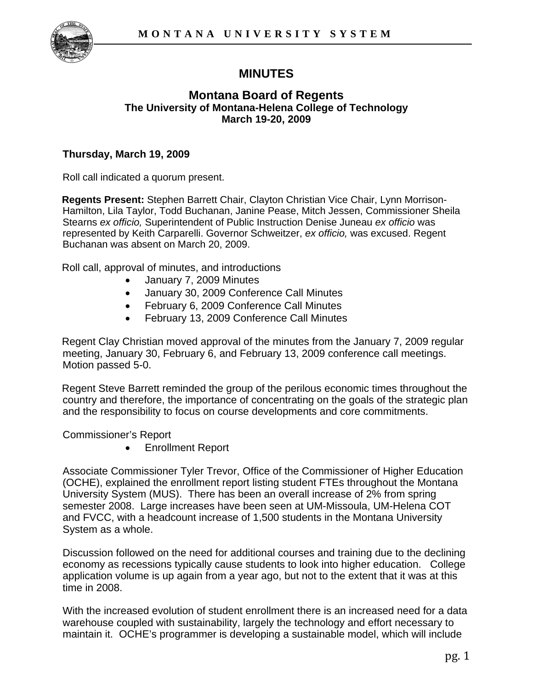

# **MINUTES**

## **Montana Board of Regents The University of Montana-Helena College of Technology March 19-20, 2009**

# **Thursday, March 19, 2009**

Roll call indicated a quorum present.

**Regents Present:** Stephen Barrett Chair, Clayton Christian Vice Chair, Lynn Morrison-Hamilton, Lila Taylor, Todd Buchanan, Janine Pease, Mitch Jessen, Commissioner Sheila Stearns *ex officio,* Superintendent of Public Instruction Denise Juneau *ex officio* was represented by Keith Carparelli. Governor Schweitzer, *ex officio,* was excused. Regent Buchanan was absent on March 20, 2009.

Roll call, approval of minutes, and introductions

- January 7, 2009 Minutes
- January 30, 2009 Conference Call Minutes
- February 6, 2009 Conference Call Minutes
- February 13, 2009 Conference Call Minutes

Regent Clay Christian moved approval of the minutes from the January 7, 2009 regular meeting, January 30, February 6, and February 13, 2009 conference call meetings. Motion passed 5-0.

Regent Steve Barrett reminded the group of the perilous economic times throughout the country and therefore, the importance of concentrating on the goals of the strategic plan and the responsibility to focus on course developments and core commitments.

Commissioner's Report

• Enrollment Report

Associate Commissioner Tyler Trevor, Office of the Commissioner of Higher Education (OCHE), explained the enrollment report listing student FTEs throughout the Montana University System (MUS). There has been an overall increase of 2% from spring semester 2008. Large increases have been seen at UM-Missoula, UM-Helena COT and FVCC, with a headcount increase of 1,500 students in the Montana University System as a whole.

Discussion followed on the need for additional courses and training due to the declining economy as recessions typically cause students to look into higher education. College application volume is up again from a year ago, but not to the extent that it was at this time in 2008.

With the increased evolution of student enrollment there is an increased need for a data warehouse coupled with sustainability, largely the technology and effort necessary to maintain it. OCHE's programmer is developing a sustainable model, which will include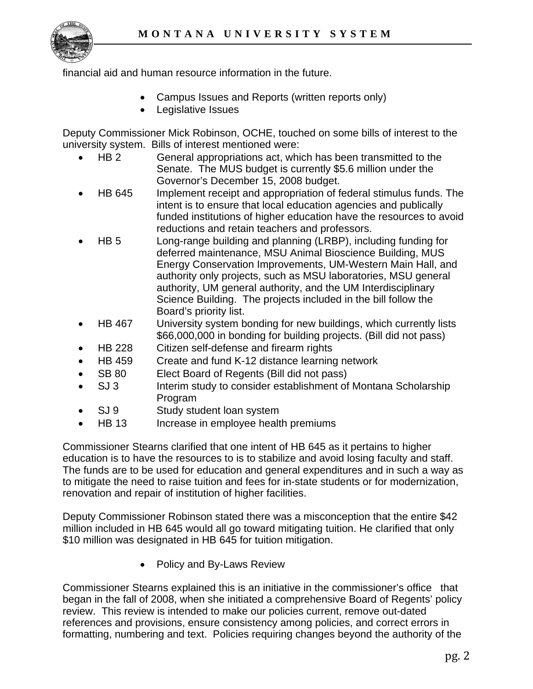

financial aid and human resource information in the future.

- Campus Issues and Reports (written reports only)
- Legislative Issues

Deputy Commissioner Mick Robinson, OCHE, touched on some bills of interest to the university system. Bills of interest mentioned were:

- HB 2 General appropriations act, which has been transmitted to the Senate. The MUS budget is currently \$5.6 million under the Governor's December 15, 2008 budget.
- HB 645 Implement receipt and appropriation of federal stimulus funds. The intent is to ensure that local education agencies and publically funded institutions of higher education have the resources to avoid reductions and retain teachers and professors.
- HB 5 Long-range building and planning (LRBP), including funding for deferred maintenance, MSU Animal Bioscience Building, MUS Energy Conservation Improvements, UM-Western Main Hall, and authority only projects, such as MSU laboratories, MSU general authority, UM general authority, and the UM Interdisciplinary Science Building. The projects included in the bill follow the Board's priority list.
- HB 467 University system bonding for new buildings, which currently lists \$66,000,000 in bonding for building projects. (Bill did not pass)
- HB 228 Citizen self-defense and firearm rights
- HB 459 Create and fund K-12 distance learning network
- SB 80 Elect Board of Regents (Bill did not pass)
- SJ 3 Interim study to consider establishment of Montana Scholarship Program
- SJ 9 Study student loan system
- HB 13 Increase in employee health premiums

Commissioner Stearns clarified that one intent of HB 645 as it pertains to higher education is to have the resources to is to stabilize and avoid losing faculty and staff. The funds are to be used for education and general expenditures and in such a way as to mitigate the need to raise tuition and fees for in-state students or for modernization, renovation and repair of institution of higher facilities.

Deputy Commissioner Robinson stated there was a misconception that the entire \$42 million included in HB 645 would all go toward mitigating tuition. He clarified that only \$10 million was designated in HB 645 for tuition mitigation.

• Policy and By-Laws Review

Commissioner Stearns explained this is an initiative in the commissioner's office that began in the fall of 2008, when she initiated a comprehensive Board of Regents' policy review. This review is intended to make our policies current, remove out-dated references and provisions, ensure consistency among policies, and correct errors in formatting, numbering and text. Policies requiring changes beyond the authority of the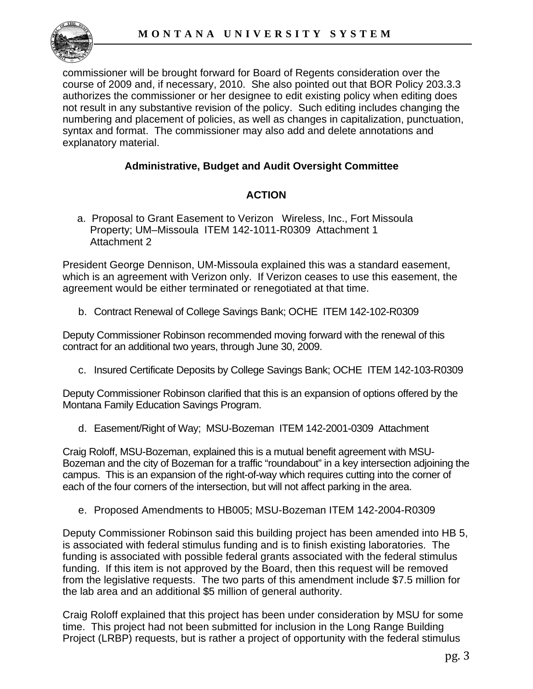

commissioner will be brought forward for Board of Regents consideration over the course of 2009 and, if necessary, 2010. She also pointed out that BOR Policy 203.3.3 authorizes the commissioner or her designee to edit existing policy when editing does not result in any substantive revision of the policy. Such editing includes changing the numbering and placement of policies, as well as changes in capitalization, punctuation, syntax and format. The commissioner may also add and delete annotations and explanatory material.

# **Administrative, Budget and Audit Oversight Committee**

# **ACTION**

 a. Proposal to Grant Easement to Verizon Wireless, Inc., Fort Missoula Property; UM–Missoula ITEM 142-1011-R0309 Attachment 1 Attachment 2

President George Dennison, UM-Missoula explained this was a standard easement, which is an agreement with Verizon only. If Verizon ceases to use this easement, the agreement would be either terminated or renegotiated at that time.

b. Contract Renewal of College Savings Bank; OCHE ITEM 142-102-R0309

Deputy Commissioner Robinson recommended moving forward with the renewal of this contract for an additional two years, through June 30, 2009.

c. Insured Certificate Deposits by College Savings Bank; OCHE ITEM 142-103-R0309

Deputy Commissioner Robinson clarified that this is an expansion of options offered by the Montana Family Education Savings Program.

d. Easement/Right of Way; MSU-Bozeman ITEM 142-2001-0309 Attachment

Craig Roloff, MSU-Bozeman, explained this is a mutual benefit agreement with MSU-Bozeman and the city of Bozeman for a traffic "roundabout" in a key intersection adjoining the campus. This is an expansion of the right-of-way which requires cutting into the corner of each of the four corners of the intersection, but will not affect parking in the area.

e. Proposed Amendments to HB005; MSU-Bozeman ITEM 142-2004-R0309

Deputy Commissioner Robinson said this building project has been amended into HB 5, is associated with federal stimulus funding and is to finish existing laboratories. The funding is associated with possible federal grants associated with the federal stimulus funding. If this item is not approved by the Board, then this request will be removed from the legislative requests. The two parts of this amendment include \$7.5 million for the lab area and an additional \$5 million of general authority.

Craig Roloff explained that this project has been under consideration by MSU for some time. This project had not been submitted for inclusion in the Long Range Building Project (LRBP) requests, but is rather a project of opportunity with the federal stimulus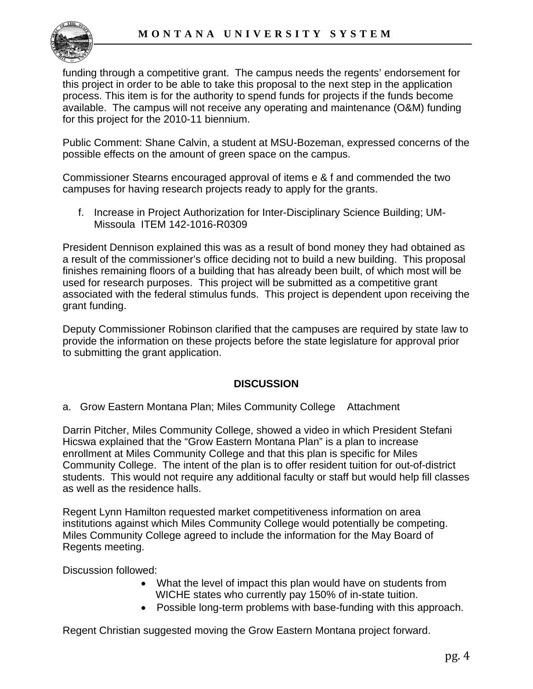

funding through a competitive grant. The campus needs the regents' endorsement for this project in order to be able to take this proposal to the next step in the application process. This item is for the authority to spend funds for projects if the funds become available. The campus will not receive any operating and maintenance (O&M) funding for this project for the 2010-11 biennium.

Public Comment: Shane Calvin, a student at MSU-Bozeman, expressed concerns of the possible effects on the amount of green space on the campus.

Commissioner Stearns encouraged approval of items e & f and commended the two campuses for having research projects ready to apply for the grants.

f. Increase in Project Authorization for Inter-Disciplinary Science Building; UM-Missoula ITEM 142-1016-R0309

President Dennison explained this was as a result of bond money they had obtained as a result of the commissioner's office deciding not to build a new building. This proposal finishes remaining floors of a building that has already been built, of which most will be used for research purposes. This project will be submitted as a competitive grant associated with the federal stimulus funds. This project is dependent upon receiving the grant funding.

Deputy Commissioner Robinson clarified that the campuses are required by state law to provide the information on these projects before the state legislature for approval prior to submitting the grant application.

# **DISCUSSION**

a. Grow Eastern Montana Plan; Miles Community College Attachment

 Darrin Pitcher, Miles Community College, showed a video in which President Stefani Hicswa explained that the "Grow Eastern Montana Plan" is a plan to increase enrollment at Miles Community College and that this plan is specific for Miles Community College. The intent of the plan is to offer resident tuition for out-of-district students. This would not require any additional faculty or staff but would help fill classes as well as the residence halls.

Regent Lynn Hamilton requested market competitiveness information on area institutions against which Miles Community College would potentially be competing. Miles Community College agreed to include the information for the May Board of Regents meeting.

Discussion followed:

- What the level of impact this plan would have on students from WICHE states who currently pay 150% of in-state tuition.
- Possible long-term problems with base-funding with this approach.

Regent Christian suggested moving the Grow Eastern Montana project forward.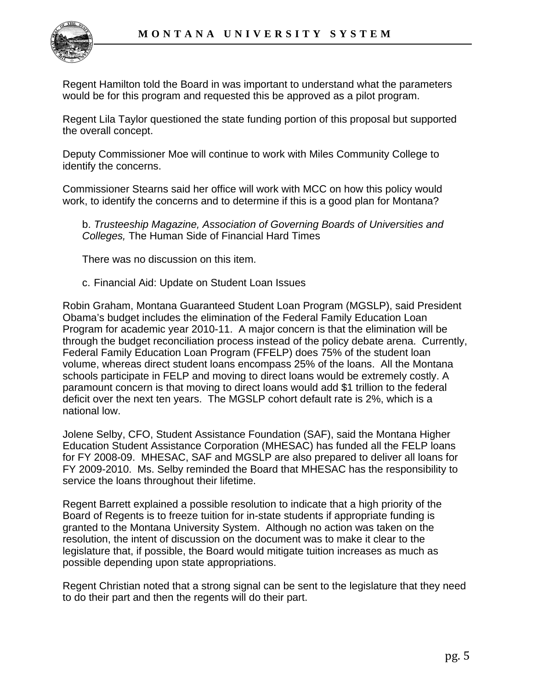

Regent Hamilton told the Board in was important to understand what the parameters would be for this program and requested this be approved as a pilot program.

Regent Lila Taylor questioned the state funding portion of this proposal but supported the overall concept.

Deputy Commissioner Moe will continue to work with Miles Community College to identify the concerns.

Commissioner Stearns said her office will work with MCC on how this policy would work, to identify the concerns and to determine if this is a good plan for Montana?

b. *Trusteeship Magazine, Association of Governing Boards of Universities and Colleges,* The Human Side of Financial Hard Times

There was no discussion on this item.

c. Financial Aid: Update on Student Loan Issues

Robin Graham, Montana Guaranteed Student Loan Program (MGSLP), said President Obama's budget includes the elimination of the Federal Family Education Loan Program for academic year 2010-11. A major concern is that the elimination will be through the budget reconciliation process instead of the policy debate arena. Currently, Federal Family Education Loan Program (FFELP) does 75% of the student loan volume, whereas direct student loans encompass 25% of the loans. All the Montana schools participate in FELP and moving to direct loans would be extremely costly. A paramount concern is that moving to direct loans would add \$1 trillion to the federal deficit over the next ten years. The MGSLP cohort default rate is 2%, which is a national low.

Jolene Selby, CFO, Student Assistance Foundation (SAF), said the Montana Higher Education Student Assistance Corporation (MHESAC) has funded all the FELP loans for FY 2008-09. MHESAC, SAF and MGSLP are also prepared to deliver all loans for FY 2009-2010. Ms. Selby reminded the Board that MHESAC has the responsibility to service the loans throughout their lifetime.

Regent Barrett explained a possible resolution to indicate that a high priority of the Board of Regents is to freeze tuition for in-state students if appropriate funding is granted to the Montana University System. Although no action was taken on the resolution, the intent of discussion on the document was to make it clear to the legislature that, if possible, the Board would mitigate tuition increases as much as possible depending upon state appropriations.

Regent Christian noted that a strong signal can be sent to the legislature that they need to do their part and then the regents will do their part.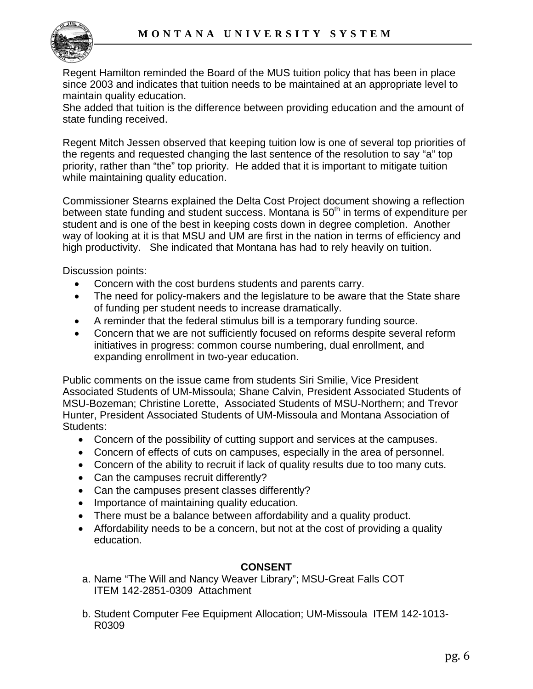

Regent Hamilton reminded the Board of the MUS tuition policy that has been in place since 2003 and indicates that tuition needs to be maintained at an appropriate level to maintain quality education.

She added that tuition is the difference between providing education and the amount of state funding received.

Regent Mitch Jessen observed that keeping tuition low is one of several top priorities of the regents and requested changing the last sentence of the resolution to say "a" top priority, rather than "the" top priority. He added that it is important to mitigate tuition while maintaining quality education.

Commissioner Stearns explained the Delta Cost Project document showing a reflection between state funding and student success. Montana is  $50<sup>th</sup>$  in terms of expenditure per student and is one of the best in keeping costs down in degree completion. Another way of looking at it is that MSU and UM are first in the nation in terms of efficiency and high productivity. She indicated that Montana has had to rely heavily on tuition.

Discussion points:

- Concern with the cost burdens students and parents carry.
- The need for policy-makers and the legislature to be aware that the State share of funding per student needs to increase dramatically.
- A reminder that the federal stimulus bill is a temporary funding source.
- Concern that we are not sufficiently focused on reforms despite several reform initiatives in progress: common course numbering, dual enrollment, and expanding enrollment in two-year education.

Public comments on the issue came from students Siri Smilie, Vice President Associated Students of UM-Missoula; Shane Calvin, President Associated Students of MSU-Bozeman; Christine Lorette, Associated Students of MSU-Northern; and Trevor Hunter, President Associated Students of UM-Missoula and Montana Association of Students:

- Concern of the possibility of cutting support and services at the campuses.
- Concern of effects of cuts on campuses, especially in the area of personnel.
- Concern of the ability to recruit if lack of quality results due to too many cuts.
- Can the campuses recruit differently?
- Can the campuses present classes differently?
- Importance of maintaining quality education.
- There must be a balance between affordability and a quality product.
- Affordability needs to be a concern, but not at the cost of providing a quality education.

# **CONSENT**

- a. Name "The Will and Nancy Weaver Library"; MSU-Great Falls COT ITEM 142-2851-0309 Attachment
- b. Student Computer Fee Equipment Allocation; UM-Missoula ITEM 142-1013- R0309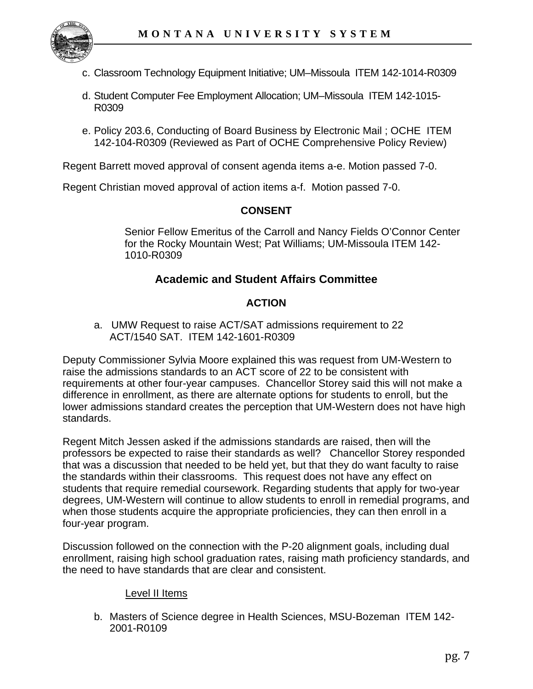

- c. Classroom Technology Equipment Initiative; UM–Missoula ITEM 142-1014-R0309
- d. Student Computer Fee Employment Allocation; UM–Missoula ITEM 142-1015- R0309
- e. Policy 203.6, Conducting of Board Business by Electronic Mail ; OCHE ITEM 142-104-R0309 (Reviewed as Part of OCHE Comprehensive Policy Review)

Regent Barrett moved approval of consent agenda items a-e. Motion passed 7-0.

Regent Christian moved approval of action items a-f. Motion passed 7-0.

## **CONSENT**

Senior Fellow Emeritus of the Carroll and Nancy Fields O'Connor Center for the Rocky Mountain West; Pat Williams; UM-Missoula ITEM 142- 1010-R0309

# **Academic and Student Affairs Committee**

# **ACTION**

 a. UMW Request to raise ACT/SAT admissions requirement to 22 ACT/1540 SAT. ITEM 142-1601-R0309

Deputy Commissioner Sylvia Moore explained this was request from UM-Western to raise the admissions standards to an ACT score of 22 to be consistent with requirements at other four-year campuses. Chancellor Storey said this will not make a difference in enrollment, as there are alternate options for students to enroll, but the lower admissions standard creates the perception that UM-Western does not have high standards.

Regent Mitch Jessen asked if the admissions standards are raised, then will the professors be expected to raise their standards as well? Chancellor Storey responded that was a discussion that needed to be held yet, but that they do want faculty to raise the standards within their classrooms. This request does not have any effect on students that require remedial coursework. Regarding students that apply for two-year degrees, UM-Western will continue to allow students to enroll in remedial programs, and when those students acquire the appropriate proficiencies, they can then enroll in a four-year program.

Discussion followed on the connection with the P-20 alignment goals, including dual enrollment, raising high school graduation rates, raising math proficiency standards, and the need to have standards that are clear and consistent.

#### Level II Items

b. Masters of Science degree in Health Sciences, MSU-Bozeman ITEM 142- 2001-R0109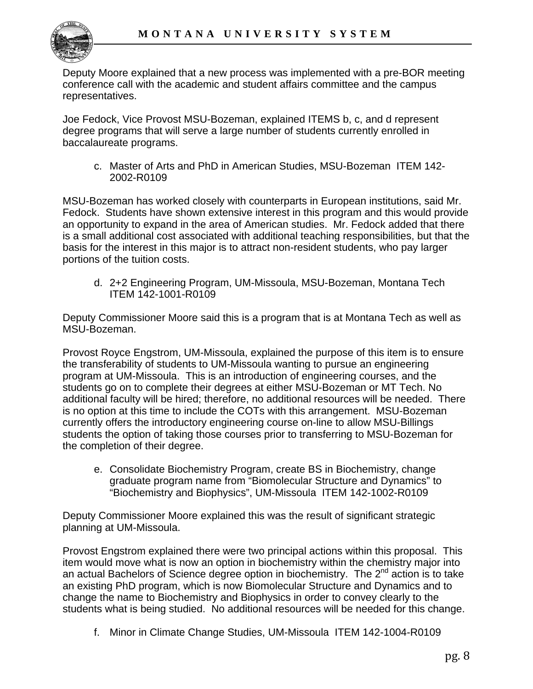

Deputy Moore explained that a new process was implemented with a pre-BOR meeting conference call with the academic and student affairs committee and the campus representatives.

Joe Fedock, Vice Provost MSU-Bozeman, explained ITEMS b, c, and d represent degree programs that will serve a large number of students currently enrolled in baccalaureate programs.

c. Master of Arts and PhD in American Studies, MSU-Bozeman ITEM 142- 2002-R0109

MSU-Bozeman has worked closely with counterparts in European institutions, said Mr. Fedock. Students have shown extensive interest in this program and this would provide an opportunity to expand in the area of American studies. Mr. Fedock added that there is a small additional cost associated with additional teaching responsibilities, but that the basis for the interest in this major is to attract non-resident students, who pay larger portions of the tuition costs.

d. 2+2 Engineering Program, UM-Missoula, MSU-Bozeman, Montana Tech ITEM 142-1001-R0109

Deputy Commissioner Moore said this is a program that is at Montana Tech as well as MSU-Bozeman.

Provost Royce Engstrom, UM-Missoula, explained the purpose of this item is to ensure the transferability of students to UM-Missoula wanting to pursue an engineering program at UM-Missoula. This is an introduction of engineering courses, and the students go on to complete their degrees at either MSU-Bozeman or MT Tech. No additional faculty will be hired; therefore, no additional resources will be needed. There is no option at this time to include the COTs with this arrangement. MSU-Bozeman currently offers the introductory engineering course on-line to allow MSU-Billings students the option of taking those courses prior to transferring to MSU-Bozeman for the completion of their degree.

e. Consolidate Biochemistry Program, create BS in Biochemistry, change graduate program name from "Biomolecular Structure and Dynamics" to "Biochemistry and Biophysics", UM-Missoula ITEM 142-1002-R0109

Deputy Commissioner Moore explained this was the result of significant strategic planning at UM-Missoula.

Provost Engstrom explained there were two principal actions within this proposal. This item would move what is now an option in biochemistry within the chemistry major into an actual Bachelors of Science degree option in biochemistry. The  $2^{nd}$  action is to take an existing PhD program, which is now Biomolecular Structure and Dynamics and to change the name to Biochemistry and Biophysics in order to convey clearly to the students what is being studied. No additional resources will be needed for this change.

f. Minor in Climate Change Studies, UM-Missoula ITEM 142-1004-R0109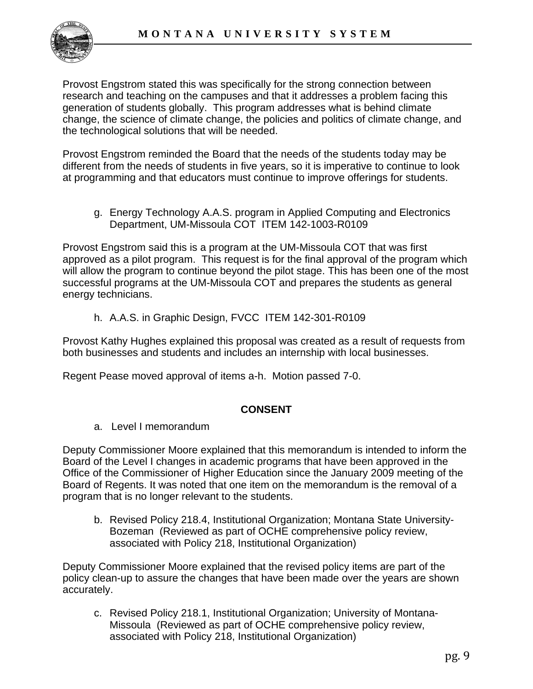

Provost Engstrom stated this was specifically for the strong connection between research and teaching on the campuses and that it addresses a problem facing this generation of students globally. This program addresses what is behind climate change, the science of climate change, the policies and politics of climate change, and the technological solutions that will be needed.

Provost Engstrom reminded the Board that the needs of the students today may be different from the needs of students in five years, so it is imperative to continue to look at programming and that educators must continue to improve offerings for students.

g. Energy Technology A.A.S. program in Applied Computing and Electronics Department, UM-Missoula COT ITEM 142-1003-R0109

Provost Engstrom said this is a program at the UM-Missoula COT that was first approved as a pilot program. This request is for the final approval of the program which will allow the program to continue beyond the pilot stage. This has been one of the most successful programs at the UM-Missoula COT and prepares the students as general energy technicians.

h. A.A.S. in Graphic Design, FVCC ITEM 142-301-R0109

Provost Kathy Hughes explained this proposal was created as a result of requests from both businesses and students and includes an internship with local businesses.

Regent Pease moved approval of items a-h. Motion passed 7-0.

#### **CONSENT**

a. Level I memorandum

Deputy Commissioner Moore explained that this memorandum is intended to inform the Board of the Level I changes in academic programs that have been approved in the Office of the Commissioner of Higher Education since the January 2009 meeting of the Board of Regents. It was noted that one item on the memorandum is the removal of a program that is no longer relevant to the students.

b. Revised Policy 218.4, Institutional Organization; Montana State University-Bozeman (Reviewed as part of OCHE comprehensive policy review, associated with Policy 218, Institutional Organization)

Deputy Commissioner Moore explained that the revised policy items are part of the policy clean-up to assure the changes that have been made over the years are shown accurately.

c. Revised Policy 218.1, Institutional Organization; University of Montana-Missoula (Reviewed as part of OCHE comprehensive policy review, associated with Policy 218, Institutional Organization)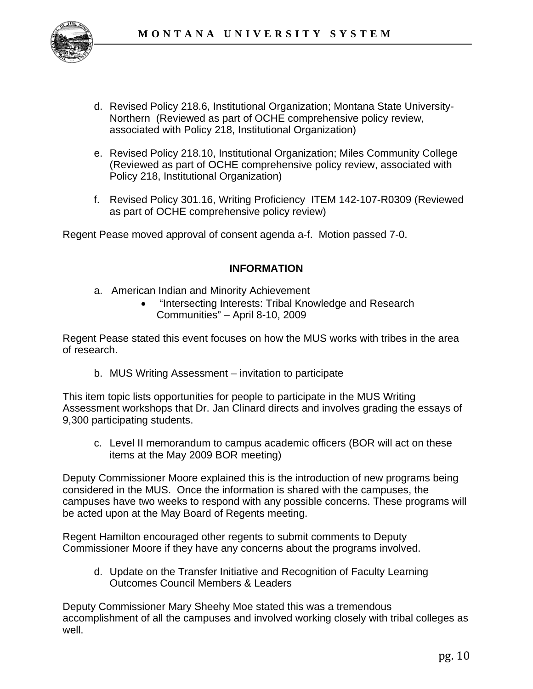

- d. Revised Policy 218.6, Institutional Organization; Montana State University-Northern (Reviewed as part of OCHE comprehensive policy review, associated with Policy 218, Institutional Organization)
- e. Revised Policy 218.10, Institutional Organization; Miles Community College (Reviewed as part of OCHE comprehensive policy review, associated with Policy 218, Institutional Organization)
- f. Revised Policy 301.16, Writing Proficiency ITEM 142-107-R0309 (Reviewed as part of OCHE comprehensive policy review)

Regent Pease moved approval of consent agenda a-f. Motion passed 7-0.

#### **INFORMATION**

- a. American Indian and Minority Achievement
	- "Intersecting Interests: Tribal Knowledge and Research Communities" – April 8-10, 2009

Regent Pease stated this event focuses on how the MUS works with tribes in the area of research.

b. MUS Writing Assessment – invitation to participate

This item topic lists opportunities for people to participate in the MUS Writing Assessment workshops that Dr. Jan Clinard directs and involves grading the essays of 9,300 participating students.

c. Level II memorandum to campus academic officers (BOR will act on these items at the May 2009 BOR meeting)

Deputy Commissioner Moore explained this is the introduction of new programs being considered in the MUS. Once the information is shared with the campuses, the campuses have two weeks to respond with any possible concerns. These programs will be acted upon at the May Board of Regents meeting.

Regent Hamilton encouraged other regents to submit comments to Deputy Commissioner Moore if they have any concerns about the programs involved.

d. Update on the Transfer Initiative and Recognition of Faculty Learning Outcomes Council Members & Leaders

Deputy Commissioner Mary Sheehy Moe stated this was a tremendous accomplishment of all the campuses and involved working closely with tribal colleges as well.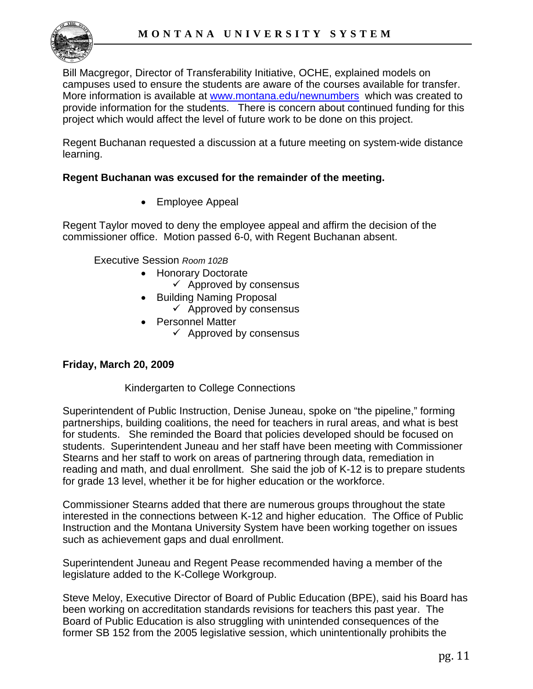

Bill Macgregor, Director of Transferability Initiative, OCHE, explained models on campuses used to ensure the students are aware of the courses available for transfer. More information is available at [www.montana.edu/newnumbers](http://www.montana.edu/newnumbers) which was created to provide information for the students. There is concern about continued funding for this project which would affect the level of future work to be done on this project.

Regent Buchanan requested a discussion at a future meeting on system-wide distance learning.

#### **Regent Buchanan was excused for the remainder of the meeting.**

• Employee Appeal

Regent Taylor moved to deny the employee appeal and affirm the decision of the commissioner office. Motion passed 6-0, with Regent Buchanan absent.

Executive Session *Room 102B* 

- Honorary Doctorate
	- $\checkmark$  Approved by consensus
- Building Naming Proposal
	- $\checkmark$  Approved by consensus
- Personnel Matter
	- $\checkmark$  Approved by consensus

#### **Friday, March 20, 2009**

#### Kindergarten to College Connections

Superintendent of Public Instruction, Denise Juneau, spoke on "the pipeline," forming partnerships, building coalitions, the need for teachers in rural areas, and what is best for students. She reminded the Board that policies developed should be focused on students. Superintendent Juneau and her staff have been meeting with Commissioner Stearns and her staff to work on areas of partnering through data, remediation in reading and math, and dual enrollment. She said the job of K-12 is to prepare students for grade 13 level, whether it be for higher education or the workforce.

Commissioner Stearns added that there are numerous groups throughout the state interested in the connections between K-12 and higher education. The Office of Public Instruction and the Montana University System have been working together on issues such as achievement gaps and dual enrollment.

Superintendent Juneau and Regent Pease recommended having a member of the legislature added to the K-College Workgroup.

Steve Meloy, Executive Director of Board of Public Education (BPE), said his Board has been working on accreditation standards revisions for teachers this past year. The Board of Public Education is also struggling with unintended consequences of the former SB 152 from the 2005 legislative session, which unintentionally prohibits the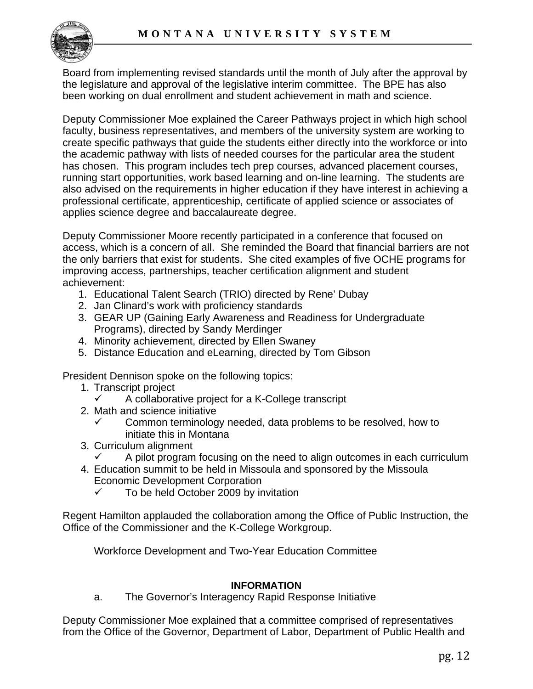

Board from implementing revised standards until the month of July after the approval by the legislature and approval of the legislative interim committee. The BPE has also been working on dual enrollment and student achievement in math and science.

Deputy Commissioner Moe explained the Career Pathways project in which high school faculty, business representatives, and members of the university system are working to create specific pathways that guide the students either directly into the workforce or into the academic pathway with lists of needed courses for the particular area the student has chosen. This program includes tech prep courses, advanced placement courses, running start opportunities, work based learning and on-line learning. The students are also advised on the requirements in higher education if they have interest in achieving a professional certificate, apprenticeship, certificate of applied science or associates of applies science degree and baccalaureate degree.

Deputy Commissioner Moore recently participated in a conference that focused on access, which is a concern of all. She reminded the Board that financial barriers are not the only barriers that exist for students. She cited examples of five OCHE programs for improving access, partnerships, teacher certification alignment and student achievement:

- 1. Educational Talent Search (TRIO) directed by Rene' Dubay
- 2. Jan Clinard's work with proficiency standards
- 3. GEAR UP (Gaining Early Awareness and Readiness for Undergraduate Programs), directed by Sandy Merdinger
- 4. Minority achievement, directed by Ellen Swaney
- 5. Distance Education and eLearning, directed by Tom Gibson

President Dennison spoke on the following topics:

- 1. Transcript project
	- $\checkmark$  A collaborative project for a K-College transcript
- 2. Math and science initiative
	- $\checkmark$  Common terminology needed, data problems to be resolved, how to initiate this in Montana
- 3. Curriculum alignment
	- A pilot program focusing on the need to align outcomes in each curriculum
- 4. Education summit to be held in Missoula and sponsored by the Missoula Economic Development Corporation
	- $\checkmark$  To be held October 2009 by invitation

Regent Hamilton applauded the collaboration among the Office of Public Instruction, the Office of the Commissioner and the K-College Workgroup.

Workforce Development and Two-Year Education Committee

#### **INFORMATION**

a. The Governor's Interagency Rapid Response Initiative

Deputy Commissioner Moe explained that a committee comprised of representatives from the Office of the Governor, Department of Labor, Department of Public Health and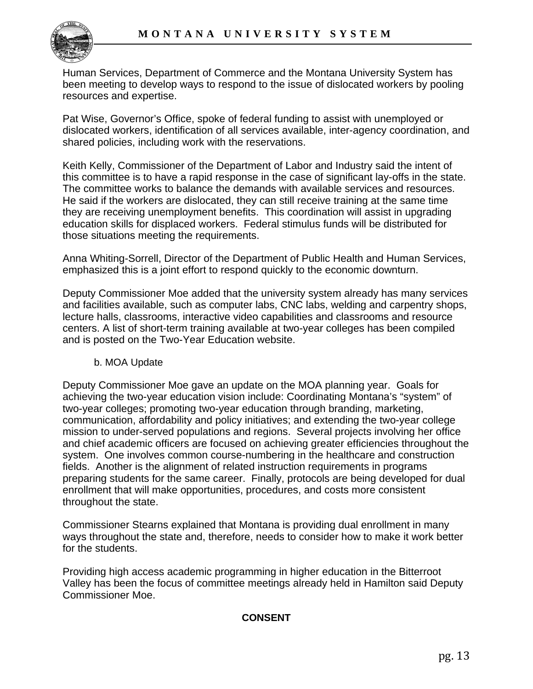

Human Services, Department of Commerce and the Montana University System has been meeting to develop ways to respond to the issue of dislocated workers by pooling resources and expertise.

Pat Wise, Governor's Office, spoke of federal funding to assist with unemployed or dislocated workers, identification of all services available, inter-agency coordination, and shared policies, including work with the reservations.

Keith Kelly, Commissioner of the Department of Labor and Industry said the intent of this committee is to have a rapid response in the case of significant lay-offs in the state. The committee works to balance the demands with available services and resources. He said if the workers are dislocated, they can still receive training at the same time they are receiving unemployment benefits. This coordination will assist in upgrading education skills for displaced workers. Federal stimulus funds will be distributed for those situations meeting the requirements.

Anna Whiting-Sorrell, Director of the Department of Public Health and Human Services, emphasized this is a joint effort to respond quickly to the economic downturn.

Deputy Commissioner Moe added that the university system already has many services and facilities available, such as computer labs, CNC labs, welding and carpentry shops, lecture halls, classrooms, interactive video capabilities and classrooms and resource centers. A list of short-term training available at two-year colleges has been compiled and is posted on the Two-Year Education website.

#### b. MOA Update

Deputy Commissioner Moe gave an update on the MOA planning year. Goals for achieving the two-year education vision include: Coordinating Montana's "system" of two-year colleges; promoting two-year education through branding, marketing, communication, affordability and policy initiatives; and extending the two-year college mission to under-served populations and regions. Several projects involving her office and chief academic officers are focused on achieving greater efficiencies throughout the system. One involves common course-numbering in the healthcare and construction fields. Another is the alignment of related instruction requirements in programs preparing students for the same career. Finally, protocols are being developed for dual enrollment that will make opportunities, procedures, and costs more consistent throughout the state.

Commissioner Stearns explained that Montana is providing dual enrollment in many ways throughout the state and, therefore, needs to consider how to make it work better for the students.

Providing high access academic programming in higher education in the Bitterroot Valley has been the focus of committee meetings already held in Hamilton said Deputy Commissioner Moe.

#### **CONSENT**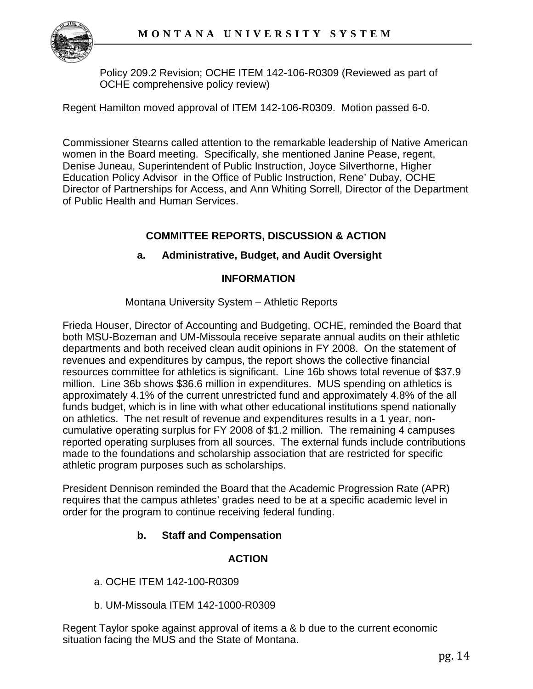

Policy 209.2 Revision; OCHE ITEM 142-106-R0309 (Reviewed as part of OCHE comprehensive policy review)

Regent Hamilton moved approval of ITEM 142-106-R0309. Motion passed 6-0.

Commissioner Stearns called attention to the remarkable leadership of Native American women in the Board meeting. Specifically, she mentioned Janine Pease, regent, Denise Juneau, Superintendent of Public Instruction, Joyce Silverthorne, Higher Education Policy Advisor in the Office of Public Instruction, Rene' Dubay, OCHE Director of Partnerships for Access, and Ann Whiting Sorrell, Director of the Department of Public Health and Human Services.

# **COMMITTEE REPORTS, DISCUSSION & ACTION**

# **a. Administrative, Budget, and Audit Oversight**

## **INFORMATION**

## Montana University System – Athletic Reports

Frieda Houser, Director of Accounting and Budgeting, OCHE, reminded the Board that both MSU-Bozeman and UM-Missoula receive separate annual audits on their athletic departments and both received clean audit opinions in FY 2008. On the statement of revenues and expenditures by campus, the report shows the collective financial resources committee for athletics is significant. Line 16b shows total revenue of \$37.9 million. Line 36b shows \$36.6 million in expenditures. MUS spending on athletics is approximately 4.1% of the current unrestricted fund and approximately 4.8% of the all funds budget, which is in line with what other educational institutions spend nationally on athletics. The net result of revenue and expenditures results in a 1 year, noncumulative operating surplus for FY 2008 of \$1.2 million. The remaining 4 campuses reported operating surpluses from all sources. The external funds include contributions made to the foundations and scholarship association that are restricted for specific athletic program purposes such as scholarships.

President Dennison reminded the Board that the Academic Progression Rate (APR) requires that the campus athletes' grades need to be at a specific academic level in order for the program to continue receiving federal funding.

# **b. Staff and Compensation**

# **ACTION**

- a. OCHE ITEM 142-100-R0309
- b. UM-Missoula ITEM 142-1000-R0309

Regent Taylor spoke against approval of items a & b due to the current economic situation facing the MUS and the State of Montana.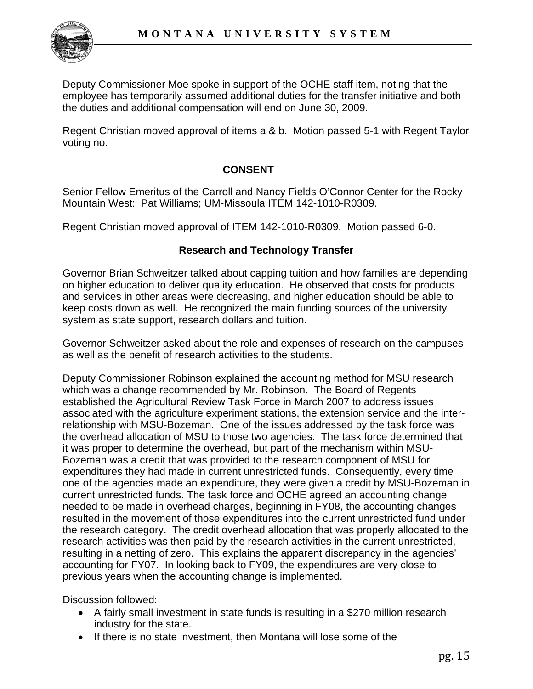

Deputy Commissioner Moe spoke in support of the OCHE staff item, noting that the employee has temporarily assumed additional duties for the transfer initiative and both the duties and additional compensation will end on June 30, 2009.

Regent Christian moved approval of items a & b. Motion passed 5-1 with Regent Taylor voting no.

#### **CONSENT**

Senior Fellow Emeritus of the Carroll and Nancy Fields O'Connor Center for the Rocky Mountain West: Pat Williams; UM-Missoula [ITEM 142-1010-R0309](http://mus.edu/board/meetings/2009/Mar09/ITEM142-1010-R0309.pdf).

Regent Christian moved approval of ITEM 142-1010-R0309. Motion passed 6-0.

#### **Research and Technology Transfer**

Governor Brian Schweitzer talked about capping tuition and how families are depending on higher education to deliver quality education. He observed that costs for products and services in other areas were decreasing, and higher education should be able to keep costs down as well. He recognized the main funding sources of the university system as state support, research dollars and tuition.

Governor Schweitzer asked about the role and expenses of research on the campuses as well as the benefit of research activities to the students.

Deputy Commissioner Robinson explained the accounting method for MSU research which was a change recommended by Mr. Robinson. The Board of Regents established the Agricultural Review Task Force in March 2007 to address issues associated with the agriculture experiment stations, the extension service and the interrelationship with MSU-Bozeman. One of the issues addressed by the task force was the overhead allocation of MSU to those two agencies. The task force determined that it was proper to determine the overhead, but part of the mechanism within MSU-Bozeman was a credit that was provided to the research component of MSU for expenditures they had made in current unrestricted funds. Consequently, every time one of the agencies made an expenditure, they were given a credit by MSU-Bozeman in current unrestricted funds. The task force and OCHE agreed an accounting change needed to be made in overhead charges, beginning in FY08, the accounting changes resulted in the movement of those expenditures into the current unrestricted fund under the research category. The credit overhead allocation that was properly allocated to the research activities was then paid by the research activities in the current unrestricted, resulting in a netting of zero. This explains the apparent discrepancy in the agencies' accounting for FY07. In looking back to FY09, the expenditures are very close to previous years when the accounting change is implemented.

Discussion followed:

- A fairly small investment in state funds is resulting in a \$270 million research industry for the state.
- If there is no state investment, then Montana will lose some of the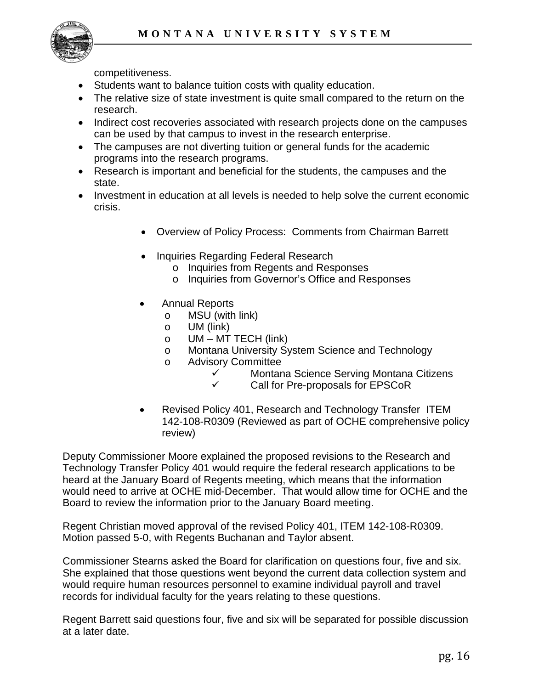

competitiveness.

- Students want to balance tuition costs with quality education.
- The relative size of state investment is quite small compared to the return on the research.
- Indirect cost recoveries associated with research projects done on the campuses can be used by that campus to invest in the research enterprise.
- The campuses are not diverting tuition or general funds for the academic programs into the research programs.
- Research is important and beneficial for the students, the campuses and the state.
- Investment in education at all levels is needed to help solve the current economic crisis.
	- Overview of Policy Process: Comments from Chairman Barrett
	- Inquiries Regarding Federal Research
		- o Inquiries from Regents and Responses
		- o Inquiries from Governor's Office and Responses
	- Annual Reports
		- o MSU (with link)
		- o UM (link)
		- $\circ$  UM MT TECH (link)
		- o Montana University System Science and Technology
		- o Advisory Committee
			- $\checkmark$  Montana Science Serving Montana Citizens
			- $\checkmark$  Call for Pre-proposals for EPSCoR
	- Revised Policy 401, Research and Technology Transfer ITEM 142-108-R0309 (Reviewed as part of OCHE comprehensive policy review)

Deputy Commissioner Moore explained the proposed revisions to the Research and Technology Transfer Policy 401 would require the federal research applications to be heard at the January Board of Regents meeting, which means that the information would need to arrive at OCHE mid-December. That would allow time for OCHE and the Board to review the information prior to the January Board meeting.

Regent Christian moved approval of the revised Policy 401, ITEM 142-108-R0309. Motion passed 5-0, with Regents Buchanan and Taylor absent.

Commissioner Stearns asked the Board for clarification on questions four, five and six. She explained that those questions went beyond the current data collection system and would require human resources personnel to examine individual payroll and travel records for individual faculty for the years relating to these questions.

Regent Barrett said questions four, five and six will be separated for possible discussion at a later date.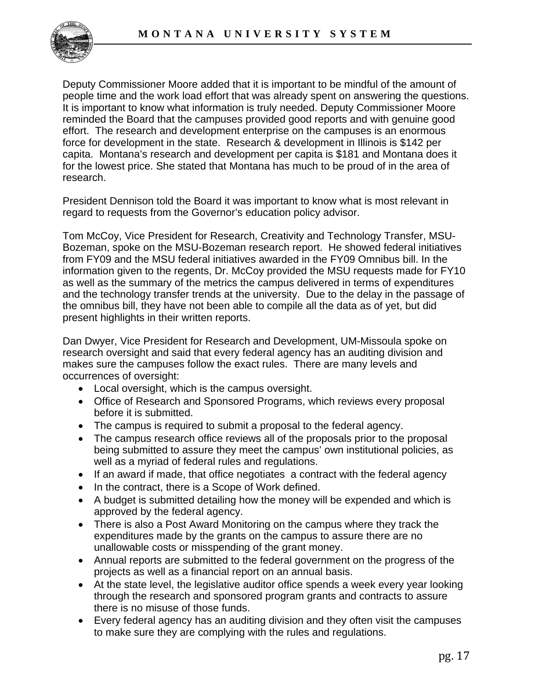

Deputy Commissioner Moore added that it is important to be mindful of the amount of people time and the work load effort that was already spent on answering the questions. It is important to know what information is truly needed. Deputy Commissioner Moore reminded the Board that the campuses provided good reports and with genuine good effort. The research and development enterprise on the campuses is an enormous force for development in the state. Research & development in Illinois is \$142 per capita. Montana's research and development per capita is \$181 and Montana does it for the lowest price. She stated that Montana has much to be proud of in the area of research.

President Dennison told the Board it was important to know what is most relevant in regard to requests from the Governor's education policy advisor.

Tom McCoy, Vice President for Research, Creativity and Technology Transfer, MSU-Bozeman, spoke on the MSU-Bozeman research report. He showed federal initiatives from FY09 and the MSU federal initiatives awarded in the FY09 Omnibus bill. In the information given to the regents, Dr. McCoy provided the MSU requests made for FY10 as well as the summary of the metrics the campus delivered in terms of expenditures and the technology transfer trends at the university. Due to the delay in the passage of the omnibus bill, they have not been able to compile all the data as of yet, but did present highlights in their written reports.

Dan Dwyer, Vice President for Research and Development, UM-Missoula spoke on research oversight and said that every federal agency has an auditing division and makes sure the campuses follow the exact rules. There are many levels and occurrences of oversight:

- Local oversight, which is the campus oversight.
- Office of Research and Sponsored Programs, which reviews every proposal before it is submitted.
- The campus is required to submit a proposal to the federal agency.
- The campus research office reviews all of the proposals prior to the proposal being submitted to assure they meet the campus' own institutional policies, as well as a myriad of federal rules and regulations.
- If an award if made, that office negotiates a contract with the federal agency
- In the contract, there is a Scope of Work defined.
- A budget is submitted detailing how the money will be expended and which is approved by the federal agency.
- There is also a Post Award Monitoring on the campus where they track the expenditures made by the grants on the campus to assure there are no unallowable costs or misspending of the grant money.
- Annual reports are submitted to the federal government on the progress of the projects as well as a financial report on an annual basis.
- At the state level, the legislative auditor office spends a week every year looking through the research and sponsored program grants and contracts to assure there is no misuse of those funds.
- Every federal agency has an auditing division and they often visit the campuses to make sure they are complying with the rules and regulations.